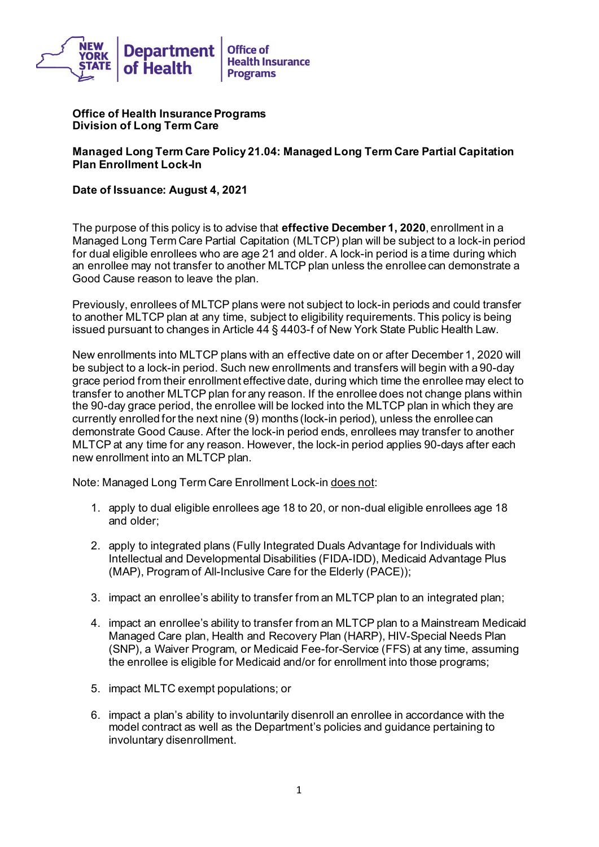

**Office of Health Insurance Programs Division of Long Term Care** 

**Managed Long Term Care Policy 21.04: Managed Long Term Care Partial Capitation Plan Enrollment Lock-In** 

 **Date of Issuance: August 4, 2021** 

 The purpose of this policy is to advise that **effective December 1, 2020**, enrollment in a an enrollee may not transfer to another MLTCP plan unless the enrollee can demonstrate a Managed Long Term Care Partial Capitation (MLTCP) plan will be subject to a lock-in period for dual eligible enrollees who are age 21 and older. A lock-in period is a time during which Good Cause reason to leave the plan.

 to another MLTCP plan at any time, subject to eligibility requirements. This policy is being Previously, enrollees of MLTCP plans were not subject to lock-in periods and could transfer issued pursuant to changes in Article 44 § 4403-f of New York State Public Health Law.

 transfer to another MLTCP plan for any reason. If the enrollee does not change plans within MLTCP at any time for any reason. However, the lock-in period applies 90-days after each new enrollment into an MLTCP plan. New enrollments into MLTCP plans with an effective date on or after December 1, 2020 will be subject to a lock-in period. Such new enrollments and transfers will begin with a 90-day grace period from their enrollment effective date, during which time the enrollee may elect to the 90-day grace period, the enrollee will be locked into the MLTCP plan in which they are currently enrolled for the next nine (9) months (lock-in period), unless the enrollee can demonstrate Good Cause. After the lock-in period ends, enrollees may transfer to another

Note: Managed Long Term Care Enrollment Lock-in does not:

- 1. apply to dual eligible enrollees age 18 to 20, or non-dual eligible enrollees age 18 and older;
- 2. apply to integrated plans (Fully Integrated Duals Advantage for Individuals with Intellectual and Developmental Disabilities (FIDA-IDD), Medicaid Advantage Plus (MAP), Program of All-Inclusive Care for the Elderly (PACE));
- 3. impact an enrollee's ability to transfer from an MLTCP plan to an integrated plan;
- 4. impact an enrollee's ability to transfer from an MLTCP plan to a Mainstream Medicaid Managed Care plan, Health and Recovery Plan (HARP), HIV-Special Needs Plan (SNP), a Waiver Program, or Medicaid Fee-for-Service (FFS) at any time, assuming the enrollee is eligible for Medicaid and/or for enrollment into those programs;
- 5. impact MLTC exempt populations; or
- 6. impact a plan's ability to involuntarily disenroll an enrollee in accordance with the model contract as well as the Department's policies and guidance pertaining to involuntary disenrollment.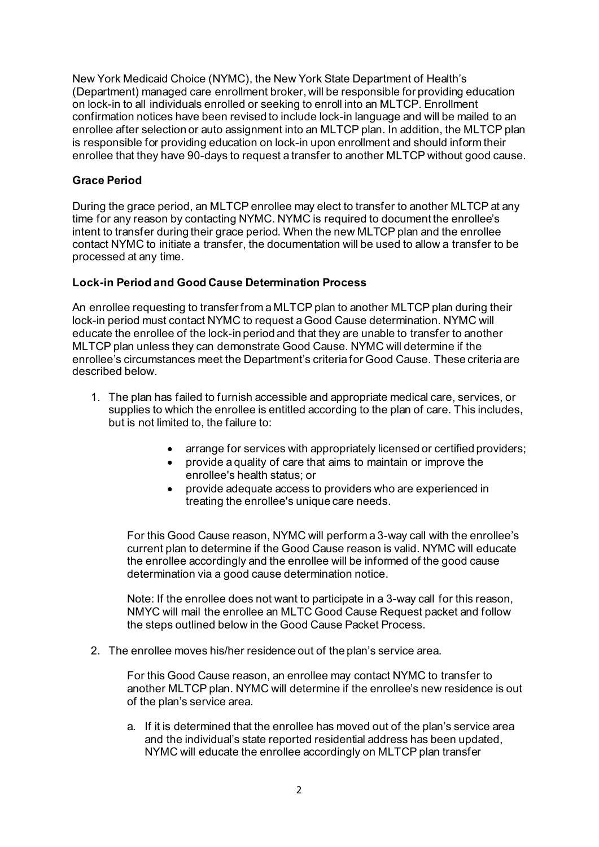on lock-in to all individuals enrolled or seeking to enroll into an MLTCP. Enrollment enrollee after selection or auto assignment into an MLTCP plan. In addition, the MLTCP plan enrollee that they have 90-days to request a transfer to another MLTCP without good cause. New York Medicaid Choice (NYMC), the New York State Department of Health's (Department) managed care enrollment broker, will be responsible for providing education confirmation notices have been revised to include lock-in language and will be mailed to an is responsible for providing education on lock-in upon enrollment and should inform their

## **Grace Period**

 processed at any time. During the grace period, an MLTCP enrollee may elect to transfer to another MLTCP at any time for any reason by contacting NYMC. NYMC is required to document the enrollee's intent to transfer during their grace period. When the new MLTCP plan and the enrollee contact NYMC to initiate a transfer, the documentation will be used to allow a transfer to be

#### **Lock-in Period and Good Cause Determination Process**

 MLTCP plan unless they can demonstrate Good Cause. NYMC will determine if the An enrollee requesting to transfer from a MLTCP plan to another MLTCP plan during their lock-in period must contact NYMC to request a Good Cause determination. NYMC will educate the enrollee of the lock-in period and that they are unable to transfer to another enrollee's circumstances meet the Department's criteria for Good Cause. These criteria are described below.

- 1. The plan has failed to furnish accessible and appropriate medical care, services, or supplies to which the enrollee is entitled according to the plan of care. This includes, but is not limited to, the failure to:
	- arrange for services with appropriately licensed or certified providers;
	- provide a quality of care that aims to maintain or improve the enrollee's health status; or
	- provide adequate access to providers who are experienced in treating the enrollee's unique care needs.

 determination via a good cause determination notice. For this Good Cause reason, NYMC will perform a 3-way call with the enrollee's current plan to determine if the Good Cause reason is valid. NYMC will educate the enrollee accordingly and the enrollee will be informed of the good cause

 NMYC will mail the enrollee an MLTC Good Cause Request packet and follow Note: If the enrollee does not want to participate in a 3-way call for this reason, the steps outlined below in the Good Cause Packet Process.

2. The enrollee moves his/her residence out of the plan's service area.

 For this Good Cause reason, an enrollee may contact NYMC to transfer to another MLTCP plan. NYMC will determine if the enrollee's new residence is out of the plan's service area.

 a. If it is determined that the enrollee has moved out of the plan's service area and the individual's state reported residential address has been updated, NYMC will educate the enrollee accordingly on MLTCP plan transfer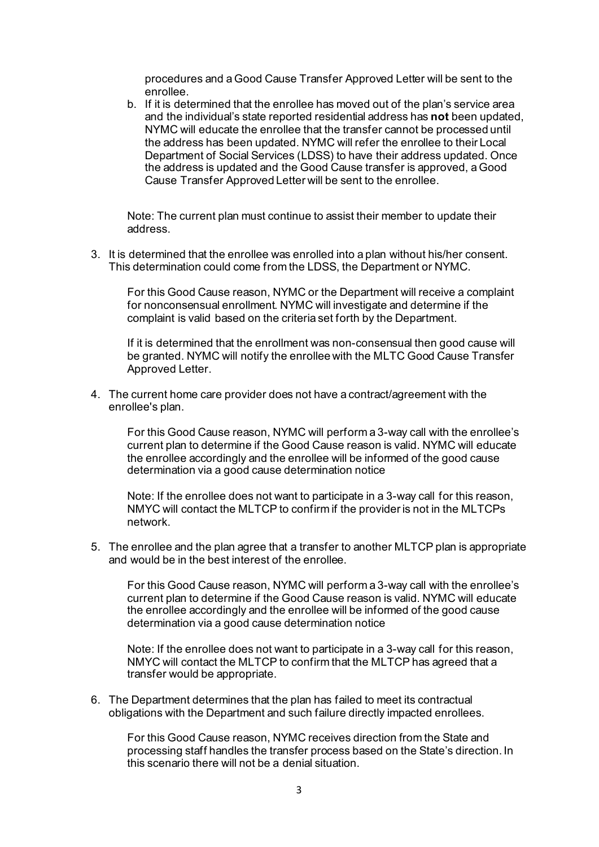procedures and a Good Cause Transfer Approved Letter will be sent to the enrollee.

b. If it is determined that the enrollee has moved out of the plan's service area and the individual's state reported residential address has **not** been updated, NYMC will educate the enrollee that the transfer cannot be processed until the address has been updated. NYMC will refer the enrollee to their Local Department of Social Services (LDSS) to have their address updated. Once the address is updated and the Good Cause transfer is approved, a Good Cause Transfer Approved Letter will be sent to the enrollee.

Note: The current plan must continue to assist their member to update their address.

This determination could come from the LDSS, the Department or NYMC. This determination could come from the LDSS, the Department or NYMC. For this Good Cause reason, NYMC or the Department will receive a complaint 3. It is determined that the enrollee was enrolled into a plan without his/her consent.

for nonconsensual enrollment. NYMC will investigate and determine if the complaint is valid based on the criteria set forth by the Department.

If it is determined that the enrollment was non-consensual then good cause will be granted. NYMC will notify the enrollee with the MLTC Good Cause Transfer Approved Letter.

enrollee's plan. 4. The current home care provider does not have a contract/agreement with the

 determination via a good cause determination notice For this Good Cause reason, NYMC will perform a 3-way call with the enrollee's current plan to determine if the Good Cause reason is valid. NYMC will educate the enrollee accordingly and the enrollee will be informed of the good cause

 Note: If the enrollee does not want to participate in a 3-way call for this reason, NMYC will contact the MLTCP to confirm if the provider is not in the MLTCPs network.

 5. The enrollee and the plan agree that a transfer to another MLTCP plan is appropriate and would be in the best interest of the enrollee.

For this Good Cause reason, NYMC will perform a 3-way call with the enrollee's current plan to determine if the Good Cause reason is valid. NYMC will educate the enrollee accordingly and the enrollee will be informed of the good cause determination via a good cause determination notice

 Note: If the enrollee does not want to participate in a 3-way call for this reason, transfer would be appropriate. NMYC will contact the MLTCP to confirm that the MLTCP has agreed that a

 obligations with the Department and such failure directly impacted enrollees. 6. The Department determines that the plan has failed to meet its contractual

For this Good Cause reason, NYMC receives direction from the State and processing staff handles the transfer process based on the State's direction. In this scenario there will not be a denial situation.